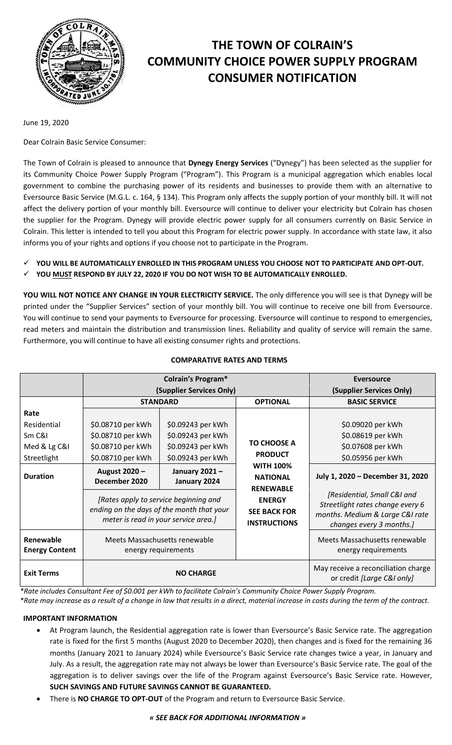

# **THE TOWN OF COLRAIN'S COMMUNITY CHOICE POWER SUPPLY PROGRAM CONSUMER NOTIFICATION**

June 19, 2020

Dear Colrain Basic Service Consumer:

The Town of Colrain is pleased to announce that **Dynegy Energy Services** ("Dynegy") has been selected as the supplier for its Community Choice Power Supply Program ("Program"). This Program is a municipal aggregation which enables local government to combine the purchasing power of its residents and businesses to provide them with an alternative to Eversource Basic Service (M.G.L. c. 164, § 134). This Program only affects the supply portion of your monthly bill. It will not affect the delivery portion of your monthly bill. Eversource will continue to deliver your electricity but Colrain has chosen the supplier for the Program. Dynegy will provide electric power supply for all consumers currently on Basic Service in Colrain. This letter is intended to tell you about this Program for electric power supply. In accordance with state law, it also informs you of your rights and options if you choose not to participate in the Program.

- **YOU WILL BE AUTOMATICALLY ENROLLED IN THIS PROGRAM UNLESS YOU CHOOSE NOT TO PARTICIPATE AND OPT-OUT.**
- **YOU MUST RESPOND BY JULY 22, 2020 IF YOU DO NOT WISH TO BE AUTOMATICALLY ENROLLED.**

**YOU WILL NOT NOTICE ANY CHANGE IN YOUR ELECTRICITY SERVICE.** The only difference you will see is that Dynegy will be printed under the "Supplier Services" section of your monthly bill. You will continue to receive one bill from Eversource. You will continue to send your payments to Eversource for processing. Eversource will continue to respond to emergencies, read meters and maintain the distribution and transmission lines. Reliability and quality of service will remain the same. Furthermore, you will continue to have all existing consumer rights and protections.

|                                    | <b>Colrain's Program*</b>                                                                                                  |                               |                                                             | Eversource                                                                                                                     |
|------------------------------------|----------------------------------------------------------------------------------------------------------------------------|-------------------------------|-------------------------------------------------------------|--------------------------------------------------------------------------------------------------------------------------------|
|                                    | (Supplier Services Only)                                                                                                   |                               |                                                             | (Supplier Services Only)                                                                                                       |
|                                    | <b>STANDARD</b>                                                                                                            |                               | <b>OPTIONAL</b>                                             | <b>BASIC SERVICE</b>                                                                                                           |
| Rate                               |                                                                                                                            |                               |                                                             |                                                                                                                                |
| Residential                        | \$0.08710 per kWh                                                                                                          | \$0.09243 per kWh             |                                                             | \$0.09020 per kWh                                                                                                              |
| Sm C&I                             | \$0.08710 per kWh                                                                                                          | \$0.09243 per kWh             | <b>TO CHOOSE A</b><br><b>PRODUCT</b>                        | \$0.08619 per kWh                                                                                                              |
| Med & Lg C&I                       | \$0.08710 per kWh                                                                                                          | \$0.09243 per kWh             |                                                             | \$0.07608 per kWh                                                                                                              |
| Streetlight                        | \$0.08710 per kWh                                                                                                          | \$0.09243 per kWh             |                                                             | \$0.05956 per kWh                                                                                                              |
| <b>Duration</b>                    | August 2020 -<br>December 2020                                                                                             | January 2021-<br>January 2024 | <b>WITH 100%</b><br><b>NATIONAL</b><br><b>RENEWABLE</b>     | July 1, 2020 - December 31, 2020                                                                                               |
|                                    | [Rates apply to service beginning and<br>ending on the days of the month that your<br>meter is read in your service area.] |                               | <b>ENERGY</b><br><b>SEE BACK FOR</b><br><b>INSTRUCTIONS</b> | [Residential, Small C&I and<br>Streetlight rates change every 6<br>months. Medium & Large C&I rate<br>changes every 3 months.] |
| Renewable<br><b>Energy Content</b> | Meets Massachusetts renewable<br>energy requirements                                                                       |                               |                                                             | Meets Massachusetts renewable<br>energy requirements                                                                           |
| <b>Exit Terms</b>                  | <b>NO CHARGE</b>                                                                                                           |                               |                                                             | May receive a reconciliation charge<br>or credit [Large C&I only]                                                              |

## **COMPARATIVE RATES AND TERMS**

*\*Rate includes Consultant Fee of \$0.001 per kWh to facilitate Colrain's Community Choice Power Supply Program.*

*\*Rate may increase as a result of a change in law that results in a direct, material increase in costs during the term of the contract.*

## **IMPORTANT INFORMATION**

- At Program launch, the Residential aggregation rate is lower than Eversource's Basic Service rate. The aggregation rate is fixed for the first 5 months (August 2020 to December 2020), then changes and is fixed for the remaining 36 months (January 2021 to January 2024) while Eversource's Basic Service rate changes twice a year, in January and July. As a result, the aggregation rate may not always be lower than Eversource's Basic Service rate. The goal of the aggregation is to deliver savings over the life of the Program against Eversource's Basic Service rate. However, **SUCH SAVINGS AND FUTURE SAVINGS CANNOT BE GUARANTEED.**
- There is **NO CHARGE TO OPT-OUT** of the Program and return to Eversource Basic Service.